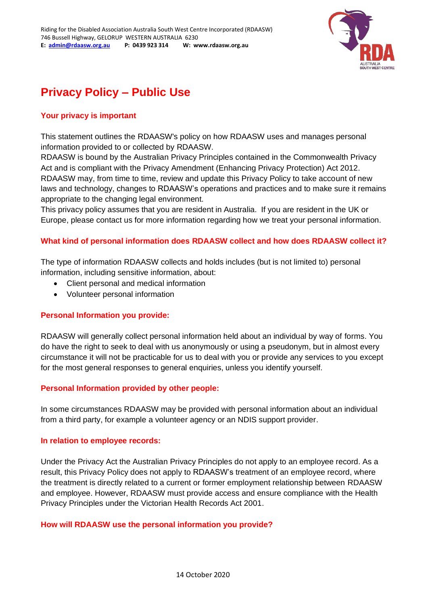

# **Privacy Policy – Public Use**

## **Your privacy is important**

This statement outlines the RDAASW's policy on how RDAASW uses and manages personal information provided to or collected by RDAASW.

RDAASW is bound by the Australian Privacy Principles contained in the Commonwealth Privacy Act and is compliant with the Privacy Amendment (Enhancing Privacy Protection) Act 2012. RDAASW may, from time to time, review and update this Privacy Policy to take account of new laws and technology, changes to RDAASW's operations and practices and to make sure it remains appropriate to the changing legal environment.

This privacy policy assumes that you are resident in Australia. If you are resident in the UK or Europe, please contact us for more information regarding how we treat your personal information.

#### **What kind of personal information does RDAASW collect and how does RDAASW collect it?**

The type of information RDAASW collects and holds includes (but is not limited to) personal information, including sensitive information, about:

- Client personal and medical information
- Volunteer personal information

#### **Personal Information you provide:**

RDAASW will generally collect personal information held about an individual by way of forms. You do have the right to seek to deal with us anonymously or using a pseudonym, but in almost every circumstance it will not be practicable for us to deal with you or provide any services to you except for the most general responses to general enquiries, unless you identify yourself.

#### **Personal Information provided by other people:**

In some circumstances RDAASW may be provided with personal information about an individual from a third party, for example a volunteer agency or an NDIS support provider.

#### **In relation to employee records:**

Under the Privacy Act the Australian Privacy Principles do not apply to an employee record. As a result, this Privacy Policy does not apply to RDAASW's treatment of an employee record, where the treatment is directly related to a current or former employment relationship between RDAASW and employee. However, RDAASW must provide access and ensure compliance with the Health Privacy Principles under the Victorian Health Records Act 2001.

#### **How will RDAASW use the personal information you provide?**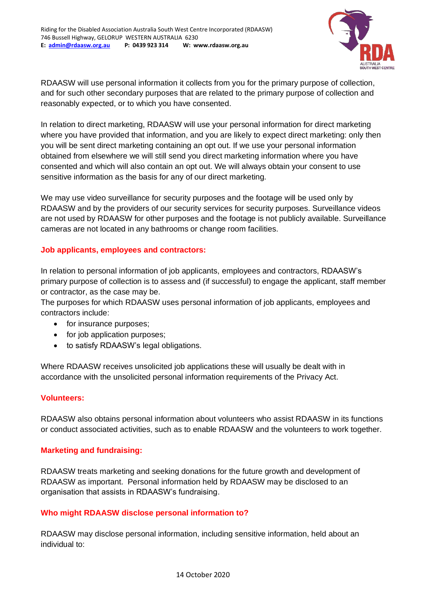

RDAASW will use personal information it collects from you for the primary purpose of collection, and for such other secondary purposes that are related to the primary purpose of collection and reasonably expected, or to which you have consented.

In relation to direct marketing, RDAASW will use your personal information for direct marketing where you have provided that information, and you are likely to expect direct marketing: only then you will be sent direct marketing containing an opt out. If we use your personal information obtained from elsewhere we will still send you direct marketing information where you have consented and which will also contain an opt out. We will always obtain your consent to use sensitive information as the basis for any of our direct marketing.

We may use video surveillance for security purposes and the footage will be used only by RDAASW and by the providers of our security services for security purposes. Surveillance videos are not used by RDAASW for other purposes and the footage is not publicly available. Surveillance cameras are not located in any bathrooms or change room facilities.

## **Job applicants, employees and contractors:**

In relation to personal information of job applicants, employees and contractors, RDAASW's primary purpose of collection is to assess and (if successful) to engage the applicant, staff member or contractor, as the case may be.

The purposes for which RDAASW uses personal information of job applicants, employees and contractors include:

- for insurance purposes;
- for job application purposes:
- to satisfy RDAASW's legal obligations.

Where RDAASW receives unsolicited job applications these will usually be dealt with in accordance with the unsolicited personal information requirements of the Privacy Act.

#### **Volunteers:**

RDAASW also obtains personal information about volunteers who assist RDAASW in its functions or conduct associated activities, such as to enable RDAASW and the volunteers to work together.

#### **Marketing and fundraising:**

RDAASW treats marketing and seeking donations for the future growth and development of RDAASW as important. Personal information held by RDAASW may be disclosed to an organisation that assists in RDAASW's fundraising.

#### **Who might RDAASW disclose personal information to?**

RDAASW may disclose personal information, including sensitive information, held about an individual to: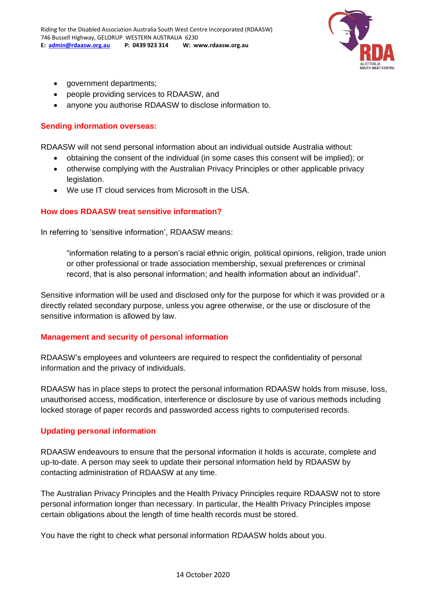

- government departments;
- people providing services to RDAASW, and
- anyone you authorise RDAASW to disclose information to.

#### **Sending information overseas:**

RDAASW will not send personal information about an individual outside Australia without:

- obtaining the consent of the individual (in some cases this consent will be implied); or
- otherwise complying with the Australian Privacy Principles or other applicable privacy legislation.
- We use IT cloud services from Microsoft in the USA.

#### **How does RDAASW treat sensitive information?**

In referring to 'sensitive information', RDAASW means:

"information relating to a person's racial ethnic origin, political opinions, religion, trade union or other professional or trade association membership, sexual preferences or criminal record, that is also personal information; and health information about an individual".

Sensitive information will be used and disclosed only for the purpose for which it was provided or a directly related secondary purpose, unless you agree otherwise, or the use or disclosure of the sensitive information is allowed by law.

#### **Management and security of personal information**

RDAASW's employees and volunteers are required to respect the confidentiality of personal information and the privacy of individuals.

RDAASW has in place steps to protect the personal information RDAASW holds from misuse, loss, unauthorised access, modification, interference or disclosure by use of various methods including locked storage of paper records and passworded access rights to computerised records.

#### **Updating personal information**

RDAASW endeavours to ensure that the personal information it holds is accurate, complete and up-to-date. A person may seek to update their personal information held by RDAASW by contacting administration of RDAASW at any time.

The Australian Privacy Principles and the Health Privacy Principles require RDAASW not to store personal information longer than necessary. In particular, the Health Privacy Principles impose certain obligations about the length of time health records must be stored.

You have the right to check what personal information RDAASW holds about you.